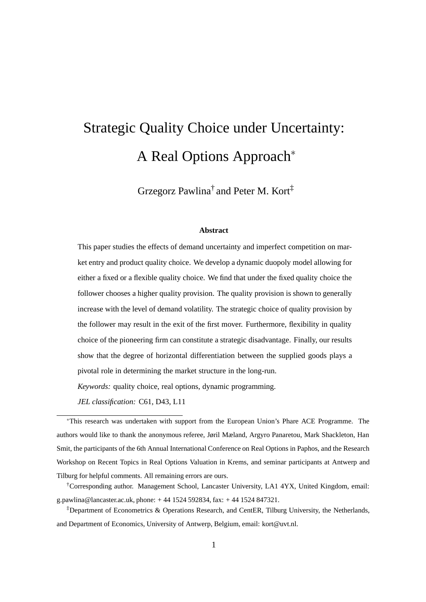# Strategic Quality Choice under Uncertainty: A Real Options Approach<sup>∗</sup>

Grzegorz Pawlina† and Peter M. Kort‡

#### **Abstract**

This paper studies the effects of demand uncertainty and imperfect competition on market entry and product quality choice. We develop a dynamic duopoly model allowing for either a fixed or a flexible quality choice. We find that under the fixed quality choice the follower chooses a higher quality provision. The quality provision is shown to generally increase with the level of demand volatility. The strategic choice of quality provision by the follower may result in the exit of the first mover. Furthermore, flexibility in quality choice of the pioneering firm can constitute a strategic disadvantage. Finally, our results show that the degree of horizontal differentiation between the supplied goods plays a pivotal role in determining the market structure in the long-run.

*Keywords:* quality choice, real options, dynamic programming.

*JEL classification:* C61, D43, L11

<sup>∗</sup>This research was undertaken with support from the European Union's Phare ACE Programme. The authors would like to thank the anonymous referee, Jøril Mæland, Argyro Panaretou, Mark Shackleton, Han Smit, the participants of the 6th Annual International Conference on Real Options in Paphos, and the Research Workshop on Recent Topics in Real Options Valuation in Krems, and seminar participants at Antwerp and Tilburg for helpful comments. All remaining errors are ours.

†Corresponding author. Management School, Lancaster University, LA1 4YX, United Kingdom, email: g.pawlina@lancaster.ac.uk, phone: + 44 1524 592834, fax: + 44 1524 847321.

‡Department of Econometrics & Operations Research, and CentER, Tilburg University, the Netherlands, and Department of Economics, University of Antwerp, Belgium, email: kort@uvt.nl.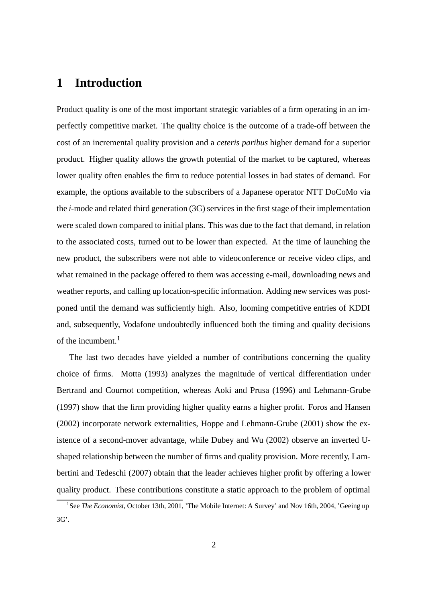## **1 Introduction**

Product quality is one of the most important strategic variables of a firm operating in an imperfectly competitive market. The quality choice is the outcome of a trade-off between the cost of an incremental quality provision and a *ceteris paribus* higher demand for a superior product. Higher quality allows the growth potential of the market to be captured, whereas lower quality often enables the firm to reduce potential losses in bad states of demand. For example, the options available to the subscribers of a Japanese operator NTT DoCoMo via the *i*-mode and related third generation (3G) services in the first stage of their implementation were scaled down compared to initial plans. This was due to the fact that demand, in relation to the associated costs, turned out to be lower than expected. At the time of launching the new product, the subscribers were not able to videoconference or receive video clips, and what remained in the package offered to them was accessing e-mail, downloading news and weather reports, and calling up location-specific information. Adding new services was postponed until the demand was sufficiently high. Also, looming competitive entries of KDDI and, subsequently, Vodafone undoubtedly influenced both the timing and quality decisions of the incumbent. $<sup>1</sup>$ </sup>

The last two decades have yielded a number of contributions concerning the quality choice of firms. Motta (1993) analyzes the magnitude of vertical differentiation under Bertrand and Cournot competition, whereas Aoki and Prusa (1996) and Lehmann-Grube (1997) show that the firm providing higher quality earns a higher profit. Foros and Hansen (2002) incorporate network externalities, Hoppe and Lehmann-Grube (2001) show the existence of a second-mover advantage, while Dubey and Wu (2002) observe an inverted Ushaped relationship between the number of firms and quality provision. More recently, Lambertini and Tedeschi (2007) obtain that the leader achieves higher profit by offering a lower quality product. These contributions constitute a static approach to the problem of optimal

<sup>&</sup>lt;sup>1</sup>See *The Economist*, October 13th, 2001, 'The Mobile Internet: A Survey' and Nov 16th, 2004, 'Geeing up 3G'.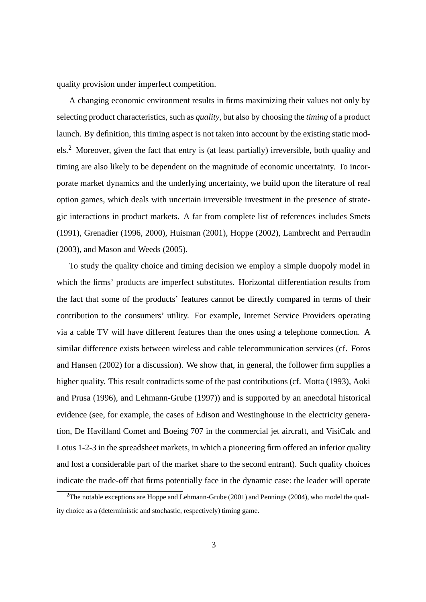quality provision under imperfect competition.

A changing economic environment results in firms maximizing their values not only by selecting product characteristics, such as *quality*, but also by choosing the *timing* of a product launch. By definition, this timing aspect is not taken into account by the existing static models.<sup>2</sup> Moreover, given the fact that entry is (at least partially) irreversible, both quality and timing are also likely to be dependent on the magnitude of economic uncertainty. To incorporate market dynamics and the underlying uncertainty, we build upon the literature of real option games, which deals with uncertain irreversible investment in the presence of strategic interactions in product markets. A far from complete list of references includes Smets (1991), Grenadier (1996, 2000), Huisman (2001), Hoppe (2002), Lambrecht and Perraudin (2003), and Mason and Weeds (2005).

To study the quality choice and timing decision we employ a simple duopoly model in which the firms' products are imperfect substitutes. Horizontal differentiation results from the fact that some of the products' features cannot be directly compared in terms of their contribution to the consumers' utility. For example, Internet Service Providers operating via a cable TV will have different features than the ones using a telephone connection. A similar difference exists between wireless and cable telecommunication services (cf. Foros and Hansen (2002) for a discussion). We show that, in general, the follower firm supplies a higher quality. This result contradicts some of the past contributions (cf. Motta (1993), Aoki and Prusa (1996), and Lehmann-Grube (1997)) and is supported by an anecdotal historical evidence (see, for example, the cases of Edison and Westinghouse in the electricity generation, De Havilland Comet and Boeing 707 in the commercial jet aircraft, and VisiCalc and Lotus 1-2-3 in the spreadsheet markets, in which a pioneering firm offered an inferior quality and lost a considerable part of the market share to the second entrant). Such quality choices indicate the trade-off that firms potentially face in the dynamic case: the leader will operate

<sup>&</sup>lt;sup>2</sup>The notable exceptions are Hoppe and Lehmann-Grube (2001) and Pennings (2004), who model the quality choice as a (deterministic and stochastic, respectively) timing game.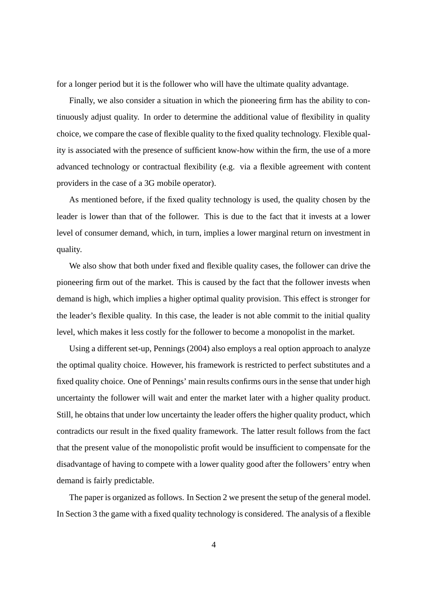for a longer period but it is the follower who will have the ultimate quality advantage.

Finally, we also consider a situation in which the pioneering firm has the ability to continuously adjust quality. In order to determine the additional value of flexibility in quality choice, we compare the case of flexible quality to the fixed quality technology. Flexible quality is associated with the presence of sufficient know-how within the firm, the use of a more advanced technology or contractual flexibility (e.g. via a flexible agreement with content providers in the case of a 3G mobile operator).

As mentioned before, if the fixed quality technology is used, the quality chosen by the leader is lower than that of the follower. This is due to the fact that it invests at a lower level of consumer demand, which, in turn, implies a lower marginal return on investment in quality.

We also show that both under fixed and flexible quality cases, the follower can drive the pioneering firm out of the market. This is caused by the fact that the follower invests when demand is high, which implies a higher optimal quality provision. This effect is stronger for the leader's flexible quality. In this case, the leader is not able commit to the initial quality level, which makes it less costly for the follower to become a monopolist in the market.

Using a different set-up, Pennings (2004) also employs a real option approach to analyze the optimal quality choice. However, his framework is restricted to perfect substitutes and a fixed quality choice. One of Pennings' main results confirms ours in the sense that under high uncertainty the follower will wait and enter the market later with a higher quality product. Still, he obtains that under low uncertainty the leader offers the higher quality product, which contradicts our result in the fixed quality framework. The latter result follows from the fact that the present value of the monopolistic profit would be insufficient to compensate for the disadvantage of having to compete with a lower quality good after the followers' entry when demand is fairly predictable.

The paper is organized as follows. In Section 2 we present the setup of the general model. In Section 3 the game with a fixed quality technology is considered. The analysis of a flexible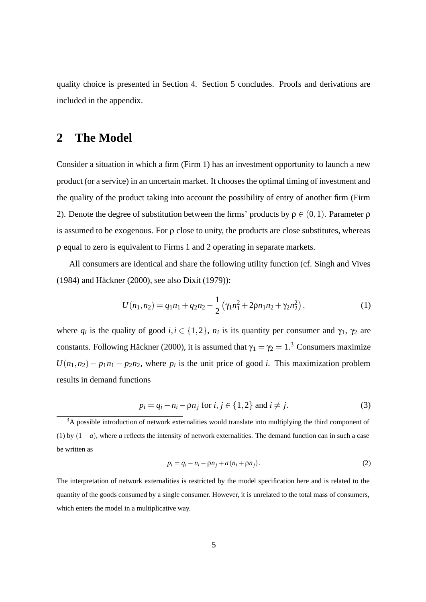quality choice is presented in Section 4. Section 5 concludes. Proofs and derivations are included in the appendix.

## **2 The Model**

Consider a situation in which a firm (Firm 1) has an investment opportunity to launch a new product (or a service) in an uncertain market. It chooses the optimal timing of investment and the quality of the product taking into account the possibility of entry of another firm (Firm 2). Denote the degree of substitution between the firms' products by  $ρ ∈ (0,1)$ . Parameter  $ρ$ is assumed to be exogenous. For  $\rho$  close to unity, the products are close substitutes, whereas ρ equal to zero is equivalent to Firms 1 and 2 operating in separate markets.

All consumers are identical and share the following utility function (cf. Singh and Vives  $(1984)$  and Häckner  $(2000)$ , see also Dixit  $(1979)$ :

$$
U(n_1, n_2) = q_1 n_1 + q_2 n_2 - \frac{1}{2} \left( \gamma_1 n_1^2 + 2 \rho n_1 n_2 + \gamma_2 n_2^2 \right),\tag{1}
$$

where  $q_i$  is the quality of good  $i, i \in \{1, 2\}$ ,  $n_i$  is its quantity per consumer and  $\gamma_1$ ,  $\gamma_2$  are constants. Following Häckner (2000), it is assumed that  $\gamma_1 = \gamma_2 = 1.3$  Consumers maximize  $U(n_1, n_2) - p_1 n_1 - p_2 n_2$ , where  $p_i$  is the unit price of good *i*. This maximization problem results in demand functions

$$
p_i = q_i - n_i - \rho n_j \text{ for } i, j \in \{1, 2\} \text{ and } i \neq j. \tag{3}
$$

$$
p_i = q_i - n_i - \rho n_j + a(n_i + \rho n_j). \tag{2}
$$

The interpretation of network externalities is restricted by the model specification here and is related to the quantity of the goods consumed by a single consumer. However, it is unrelated to the total mass of consumers, which enters the model in a multiplicative way.

 $3A$  possible introduction of network externalities would translate into multiplying the third component of (1) by (1−*a*), where *a* reflects the intensity of network externalities. The demand function can in such a case be written as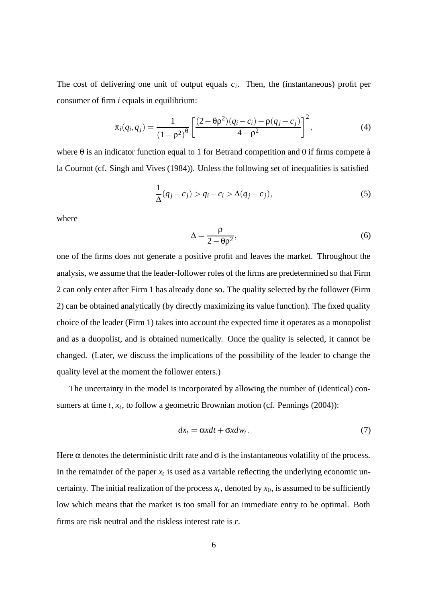The cost of delivering one unit of output equals  $c_i$ . Then, the (instantaneous) profit per consumer of firm *i* equals in equilibrium:

$$
\pi_i(q_i, q_j) = \frac{1}{(1 - \rho^2)^{\theta}} \left[ \frac{(2 - \theta \rho^2)(q_i - c_i) - \rho(q_j - c_j)}{4 - \rho^2} \right]^2, \tag{4}
$$

where  $\theta$  is an indicator function equal to 1 for Betrand competition and 0 if firms compete à la Cournot (cf. Singh and Vives (1984)). Unless the following set of inequalities is satisfied

$$
\frac{1}{\Delta}(q_j - c_j) > q_i - c_i > \Delta(q_j - c_j),\tag{5}
$$

where

$$
\Delta = \frac{\rho}{2 - \theta \rho^2},\tag{6}
$$

one of the firms does not generate a positive profit and leaves the market. Throughout the analysis, we assume that the leader-follower roles of the firms are predetermined so that Firm 2 can only enter after Firm 1 has already done so. The quality selected by the follower (Firm 2) can be obtained analytically (by directly maximizing its value function). The fixed quality choice of the leader (Firm 1) takes into account the expected time it operates as a monopolist and as a duopolist, and is obtained numerically. Once the quality is selected, it cannot be changed. (Later, we discuss the implications of the possibility of the leader to change the quality level at the moment the follower enters.)

The uncertainty in the model is incorporated by allowing the number of (identical) consumers at time *t*, *x<sub>t</sub>*, to follow a geometric Brownian motion (cf. Pennings (2004)):

$$
dx_t = \alpha x dt + \sigma x dw_t. \tag{7}
$$

Here  $\alpha$  denotes the deterministic drift rate and  $\sigma$  is the instantaneous volatility of the process. In the remainder of the paper  $x_t$  is used as a variable reflecting the underlying economic uncertainty. The initial realization of the process  $x_t$ , denoted by  $x_0$ , is assumed to be sufficiently low which means that the market is too small for an immediate entry to be optimal. Both firms are risk neutral and the riskless interest rate is *r*.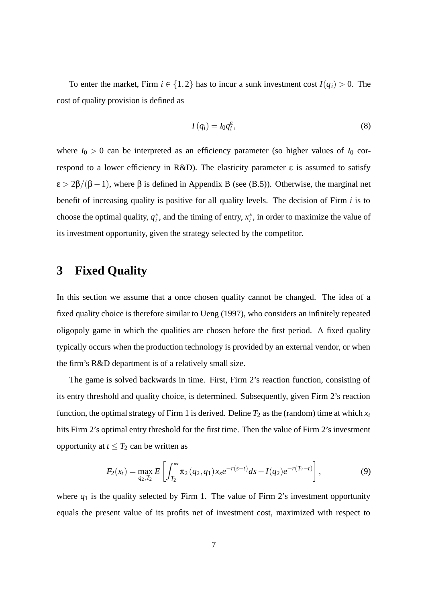To enter the market, Firm  $i \in \{1,2\}$  has to incur a sunk investment cost  $I(q_i) > 0$ . The cost of quality provision is defined as

$$
I(q_i) = I_0 q_i^{\varepsilon},\tag{8}
$$

where  $I_0 > 0$  can be interpreted as an efficiency parameter (so higher values of  $I_0$  correspond to a lower efficiency in R&D). The elasticity parameter  $ε$  is assumed to satisfy  $\varepsilon$  > 2 $\beta$ /( $\beta$  - 1), where  $\beta$  is defined in Appendix B (see (B.5)). Otherwise, the marginal net benefit of increasing quality is positive for all quality levels. The decision of Firm *i* is to choose the optimal quality,  $q_i^*$ , and the timing of entry,  $x_i^*$ , in order to maximize the value of its investment opportunity, given the strategy selected by the competitor.

## **3 Fixed Quality**

In this section we assume that a once chosen quality cannot be changed. The idea of a fixed quality choice is therefore similar to Ueng (1997), who considers an infinitely repeated oligopoly game in which the qualities are chosen before the first period. A fixed quality typically occurs when the production technology is provided by an external vendor, or when the firm's R&D department is of a relatively small size.

The game is solved backwards in time. First, Firm 2's reaction function, consisting of its entry threshold and quality choice, is determined. Subsequently, given Firm 2's reaction function, the optimal strategy of Firm 1 is derived. Define  $T_2$  as the (random) time at which  $x_t$ hits Firm 2's optimal entry threshold for the first time. Then the value of Firm 2's investment opportunity at  $t \leq T_2$  can be written as

$$
F_2(x_t) = \max_{q_2, T_2} E\left[\int_{T_2}^{\infty} \pi_2(q_2, q_1) x_s e^{-r(s-t)} ds - I(q_2) e^{-r(T_2 - t)}\right],
$$
\n(9)

where  $q_1$  is the quality selected by Firm 1. The value of Firm 2's investment opportunity equals the present value of its profits net of investment cost, maximized with respect to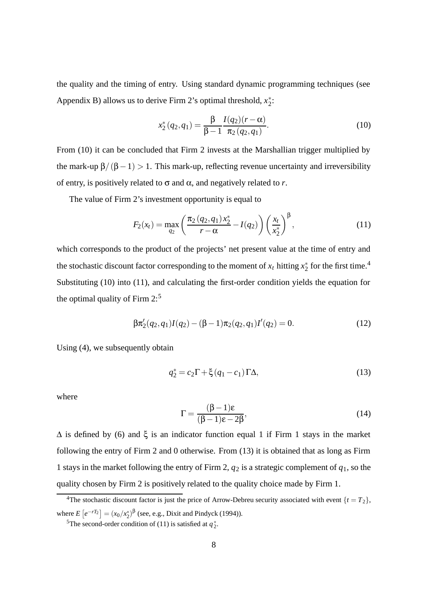the quality and the timing of entry. Using standard dynamic programming techniques (see Appendix B) allows us to derive Firm 2's optimal threshold,  $x_2^*$ :

$$
x_2^*(q_2, q_1) = \frac{\beta}{\beta - 1} \frac{I(q_2)(r - \alpha)}{\pi_2(q_2, q_1)}.
$$
 (10)

From (10) it can be concluded that Firm 2 invests at the Marshallian trigger multiplied by the mark-up  $\beta/(\beta-1) > 1$ . This mark-up, reflecting revenue uncertainty and irreversibility of entry, is positively related to σ and α, and negatively related to *r*.

The value of Firm 2's investment opportunity is equal to

$$
F_2(x_t) = \max_{q_2} \left( \frac{\pi_2(q_2, q_1) x_2^*}{r - \alpha} - I(q_2) \right) \left( \frac{x_t}{x_2^*} \right)^{\beta}, \tag{11}
$$

which corresponds to the product of the projects' net present value at the time of entry and the stochastic discount factor corresponding to the moment of  $x_t$  hitting  $x_2^*$  for the first time.<sup>4</sup> Substituting (10) into (11), and calculating the first-order condition yields the equation for the optimal quality of Firm  $2:5$ 

$$
\beta \pi_2'(q_2, q_1) I(q_2) - (\beta - 1) \pi_2(q_2, q_1) I'(q_2) = 0.
$$
 (12)

Using (4), we subsequently obtain

$$
q_2^* = c_2 \Gamma + \xi (q_1 - c_1) \Gamma \Delta, \qquad (13)
$$

where

$$
\Gamma = \frac{(\beta - 1)\varepsilon}{(\beta - 1)\varepsilon - 2\beta},\tag{14}
$$

 $\Delta$  is defined by (6) and  $\xi$  is an indicator function equal 1 if Firm 1 stays in the market following the entry of Firm 2 and 0 otherwise. From (13) it is obtained that as long as Firm 1 stays in the market following the entry of Firm 2,  $q_2$  is a strategic complement of  $q_1$ , so the quality chosen by Firm 2 is positively related to the quality choice made by Firm 1.

<sup>&</sup>lt;sup>4</sup>The stochastic discount factor is just the price of Arrow-Debreu security associated with event  $\{t = T_2\}$ , where  $E[e^{-rT_2}] = (x_0/x_2^*)^{\beta}$  (see, e.g., Dixit and Pindyck (1994)).

<sup>&</sup>lt;sup>5</sup>The second-order condition of (11) is satisfied at  $q_2^*$ .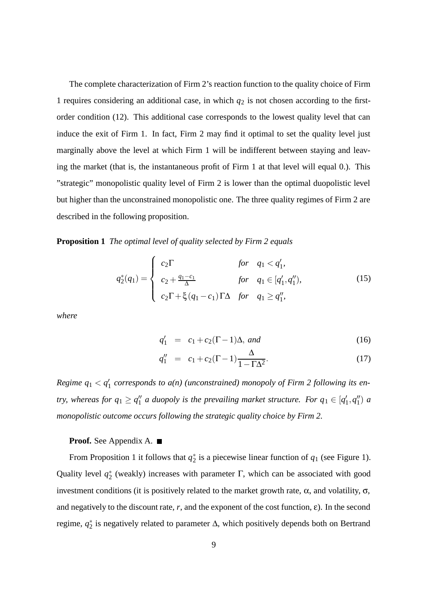The complete characterization of Firm 2's reaction function to the quality choice of Firm 1 requires considering an additional case, in which  $q_2$  is not chosen according to the firstorder condition (12). This additional case corresponds to the lowest quality level that can induce the exit of Firm 1. In fact, Firm 2 may find it optimal to set the quality level just marginally above the level at which Firm 1 will be indifferent between staying and leaving the market (that is, the instantaneous profit of Firm 1 at that level will equal 0.). This "strategic" monopolistic quality level of Firm 2 is lower than the optimal duopolistic level but higher than the unconstrained monopolistic one. The three quality regimes of Firm 2 are described in the following proposition.

**Proposition 1** *The optimal level of quality selected by Firm 2 equals*

$$
q_2^*(q_1) = \begin{cases} c_2 \Gamma & \text{for } q_1 < q'_1, \\ c_2 + \frac{q_1 - c_1}{\Delta} & \text{for } q_1 \in [q'_1, q''_1), \\ c_2 \Gamma + \xi (q_1 - c_1) \Gamma \Delta & \text{for } q_1 \ge q''_1, \end{cases}
$$
(15)

*where*

$$
q'_1 = c_1 + c_2(\Gamma - 1)\Delta, \text{ and } (16)
$$

$$
q_1'' = c_1 + c_2(\Gamma - 1) \frac{\Delta}{1 - \Gamma \Delta^2}.
$$
 (17)

*Regime q*<sup>1</sup> *< q* <sup>1</sup> *corresponds to a(n) (unconstrained) monopoly of Firm 2 following its entry, whereas for*  $q_1 \ge q_1''$  *a duopoly is the prevailing market structure. For*  $q_1 \in [q'_1, q''_1)$  *a monopolistic outcome occurs following the strategic quality choice by Firm 2.*

#### **Proof.** See Appendix A.

From Proposition 1 it follows that  $q_2^*$  is a piecewise linear function of  $q_1$  (see Figure 1). Quality level  $q_2^*$  (weakly) increases with parameter  $\Gamma$ , which can be associated with good investment conditions (it is positively related to the market growth rate,  $\alpha$ , and volatility,  $\sigma$ , and negatively to the discount rate,  $r$ , and the exponent of the cost function,  $\varepsilon$ ). In the second regime, *q*<sup>∗</sup> <sup>2</sup> is negatively related to parameter Δ, which positively depends both on Bertrand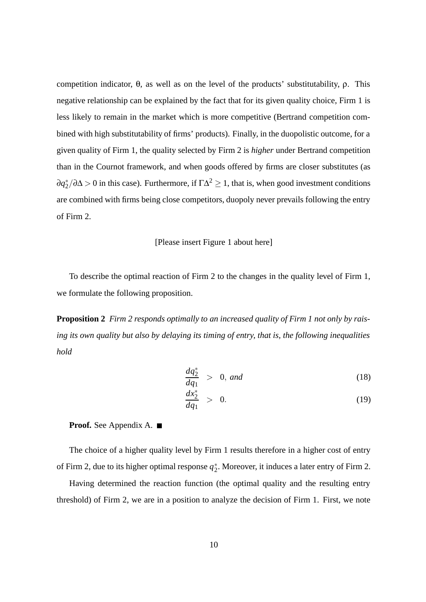competition indicator, θ, as well as on the level of the products' substitutability, ρ. This negative relationship can be explained by the fact that for its given quality choice, Firm 1 is less likely to remain in the market which is more competitive (Bertrand competition combined with high substitutability of firms' products). Finally, in the duopolistic outcome, for a given quality of Firm 1, the quality selected by Firm 2 is *higher* under Bertrand competition than in the Cournot framework, and when goods offered by firms are closer substitutes (as  $\partial q_2^*/\partial\Delta > 0$  in this case). Furthermore, if  $\Gamma \Delta^2 \ge 1$ , that is, when good investment conditions are combined with firms being close competitors, duopoly never prevails following the entry of Firm 2.

#### [Please insert Figure 1 about here]

To describe the optimal reaction of Firm 2 to the changes in the quality level of Firm 1, we formulate the following proposition.

**Proposition 2** *Firm 2 responds optimally to an increased quality of Firm 1 not only by raising its own quality but also by delaying its timing of entry, that is, the following inequalities hold*

$$
\frac{dq_2^*}{dq_1} > 0, \text{ and } \tag{18}
$$

$$
\frac{dx_2^*}{dq_1} > 0.
$$
 (19)

**Proof.** See Appendix A.

The choice of a higher quality level by Firm 1 results therefore in a higher cost of entry of Firm 2, due to its higher optimal response  $q_2^*$ . Moreover, it induces a later entry of Firm 2.

Having determined the reaction function (the optimal quality and the resulting entry threshold) of Firm 2, we are in a position to analyze the decision of Firm 1. First, we note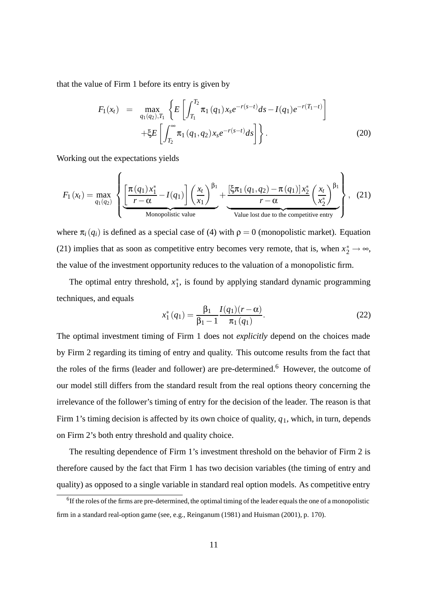that the value of Firm 1 before its entry is given by

$$
F_1(x_t) = \max_{q_1(q_2), T_1} \left\{ E\left[\int_{T_1}^{T_2} \pi_1(q_1) x_s e^{-r(s-t)} ds - I(q_1) e^{-r(T_1-t)} \right] + \xi E\left[\int_{T_2}^{\infty} \pi_1(q_1, q_2) x_s e^{-r(s-t)} ds\right] \right\}.
$$
\n(20)

Working out the expectations yields

$$
F_1(x_t) = \max_{q_1(q_2)} \left\{ \underbrace{\left[\frac{\pi(q_1)x_1^*}{r-\alpha} - I(q_1)\right] \left(\frac{x_t}{x_1}\right)^{\beta_1}}_{\text{Monopolistic value}} + \underbrace{\frac{\left[\xi\pi_1(q_1,q_2) - \pi(q_1)\right]x_2^*}{r-\alpha} \left(\frac{x_t}{x_2^*}\right)^{\beta_1}}_{\text{Value lost due to the competitive entry}} \right\}, \quad (21)
$$

where  $\pi_i(q_i)$  is defined as a special case of (4) with  $\rho = 0$  (monopolistic market). Equation (21) implies that as soon as competitive entry becomes very remote, that is, when  $x_2^* \rightarrow \infty$ , the value of the investment opportunity reduces to the valuation of a monopolistic firm.

The optimal entry threshold,  $x_1^*$ , is found by applying standard dynamic programming techniques, and equals

$$
x_1^*(q_1) = \frac{\beta_1}{\beta_1 - 1} \frac{I(q_1)(r - \alpha)}{\pi_1(q_1)}.
$$
 (22)

The optimal investment timing of Firm 1 does not *explicitly* depend on the choices made by Firm 2 regarding its timing of entry and quality. This outcome results from the fact that the roles of the firms (leader and follower) are pre-determined.<sup>6</sup> However, the outcome of our model still differs from the standard result from the real options theory concerning the irrelevance of the follower's timing of entry for the decision of the leader. The reason is that Firm 1's timing decision is affected by its own choice of quality, *q*1, which, in turn, depends on Firm 2's both entry threshold and quality choice.

The resulting dependence of Firm 1's investment threshold on the behavior of Firm 2 is therefore caused by the fact that Firm 1 has two decision variables (the timing of entry and quality) as opposed to a single variable in standard real option models. As competitive entry

<sup>&</sup>lt;sup>6</sup>If the roles of the firms are pre-determined, the optimal timing of the leader equals the one of a monopolistic firm in a standard real-option game (see, e.g., Reinganum (1981) and Huisman (2001), p. 170).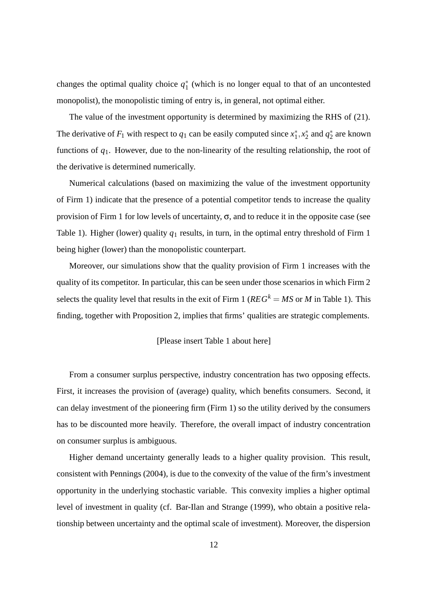changes the optimal quality choice  $q_1^*$  (which is no longer equal to that of an uncontested monopolist), the monopolistic timing of entry is, in general, not optimal either.

The value of the investment opportunity is determined by maximizing the RHS of (21). The derivative of  $F_1$  with respect to  $q_1$  can be easily computed since  $x_1^*, x_2^*$  and  $q_2^*$  are known functions of *q*1. However, due to the non-linearity of the resulting relationship, the root of the derivative is determined numerically.

Numerical calculations (based on maximizing the value of the investment opportunity of Firm 1) indicate that the presence of a potential competitor tends to increase the quality provision of Firm 1 for low levels of uncertainty,  $\sigma$ , and to reduce it in the opposite case (see Table 1). Higher (lower) quality  $q_1$  results, in turn, in the optimal entry threshold of Firm 1 being higher (lower) than the monopolistic counterpart.

Moreover, our simulations show that the quality provision of Firm 1 increases with the quality of its competitor. In particular, this can be seen under those scenarios in which Firm 2 selects the quality level that results in the exit of Firm 1 ( $REG<sup>k</sup> = MS$  or *M* in Table 1). This finding, together with Proposition 2, implies that firms' qualities are strategic complements.

#### [Please insert Table 1 about here]

From a consumer surplus perspective, industry concentration has two opposing effects. First, it increases the provision of (average) quality, which benefits consumers. Second, it can delay investment of the pioneering firm (Firm 1) so the utility derived by the consumers has to be discounted more heavily. Therefore, the overall impact of industry concentration on consumer surplus is ambiguous.

Higher demand uncertainty generally leads to a higher quality provision. This result, consistent with Pennings (2004), is due to the convexity of the value of the firm's investment opportunity in the underlying stochastic variable. This convexity implies a higher optimal level of investment in quality (cf. Bar-Ilan and Strange (1999), who obtain a positive relationship between uncertainty and the optimal scale of investment). Moreover, the dispersion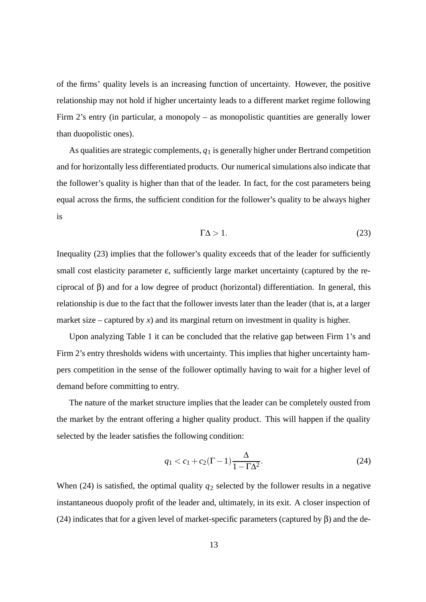of the firms' quality levels is an increasing function of uncertainty. However, the positive relationship may not hold if higher uncertainty leads to a different market regime following Firm 2's entry (in particular, a monopoly – as monopolistic quantities are generally lower than duopolistic ones).

As qualities are strategic complements,  $q_1$  is generally higher under Bertrand competition and for horizontally less differentiated products. Our numerical simulations also indicate that the follower's quality is higher than that of the leader. In fact, for the cost parameters being equal across the firms, the sufficient condition for the follower's quality to be always higher is

$$
\Gamma \Delta > 1. \tag{23}
$$

Inequality (23) implies that the follower's quality exceeds that of the leader for sufficiently small cost elasticity parameter  $\varepsilon$ , sufficiently large market uncertainty (captured by the reciprocal of β) and for a low degree of product (horizontal) differentiation. In general, this relationship is due to the fact that the follower invests later than the leader (that is, at a larger market size – captured by  $x$ ) and its marginal return on investment in quality is higher.

Upon analyzing Table 1 it can be concluded that the relative gap between Firm 1's and Firm 2's entry thresholds widens with uncertainty. This implies that higher uncertainty hampers competition in the sense of the follower optimally having to wait for a higher level of demand before committing to entry.

The nature of the market structure implies that the leader can be completely ousted from the market by the entrant offering a higher quality product. This will happen if the quality selected by the leader satisfies the following condition:

$$
q_1 < c_1 + c_2(\Gamma - 1) \frac{\Delta}{1 - \Gamma \Delta^2}.
$$
 (24)

When  $(24)$  is satisfied, the optimal quality  $q_2$  selected by the follower results in a negative instantaneous duopoly profit of the leader and, ultimately, in its exit. A closer inspection of (24) indicates that for a given level of market-specific parameters (captured by  $\beta$ ) and the de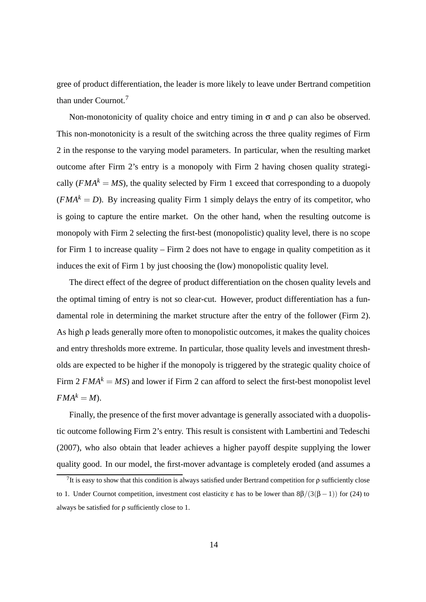gree of product differentiation, the leader is more likely to leave under Bertrand competition than under Cournot.<sup>7</sup>

Non-monotonicity of quality choice and entry timing in  $\sigma$  and  $\rho$  can also be observed. This non-monotonicity is a result of the switching across the three quality regimes of Firm 2 in the response to the varying model parameters. In particular, when the resulting market outcome after Firm 2's entry is a monopoly with Firm 2 having chosen quality strategically (*FMA<sup>k</sup>* = *MS*), the quality selected by Firm 1 exceed that corresponding to a duopoly  $(FMA<sup>k</sup> = D)$ . By increasing quality Firm 1 simply delays the entry of its competitor, who is going to capture the entire market. On the other hand, when the resulting outcome is monopoly with Firm 2 selecting the first-best (monopolistic) quality level, there is no scope for Firm 1 to increase quality – Firm 2 does not have to engage in quality competition as it induces the exit of Firm 1 by just choosing the (low) monopolistic quality level.

The direct effect of the degree of product differentiation on the chosen quality levels and the optimal timing of entry is not so clear-cut. However, product differentiation has a fundamental role in determining the market structure after the entry of the follower (Firm 2). As high ρ leads generally more often to monopolistic outcomes, it makes the quality choices and entry thresholds more extreme. In particular, those quality levels and investment thresholds are expected to be higher if the monopoly is triggered by the strategic quality choice of Firm  $2 \text{ F}MA^k = MS$ ) and lower if Firm 2 can afford to select the first-best monopolist level  $FMA^k = M$ ).

Finally, the presence of the first mover advantage is generally associated with a duopolistic outcome following Firm 2's entry. This result is consistent with Lambertini and Tedeschi (2007), who also obtain that leader achieves a higher payoff despite supplying the lower quality good. In our model, the first-mover advantage is completely eroded (and assumes a

<sup>&</sup>lt;sup>7</sup>It is easy to show that this condition is always satisfied under Bertrand competition for  $\rho$  sufficiently close to 1. Under Cournot competition, investment cost elasticity ε has to be lower than  $8\beta/(3(\beta-1))$  for (24) to always be satisfied for ρ sufficiently close to 1.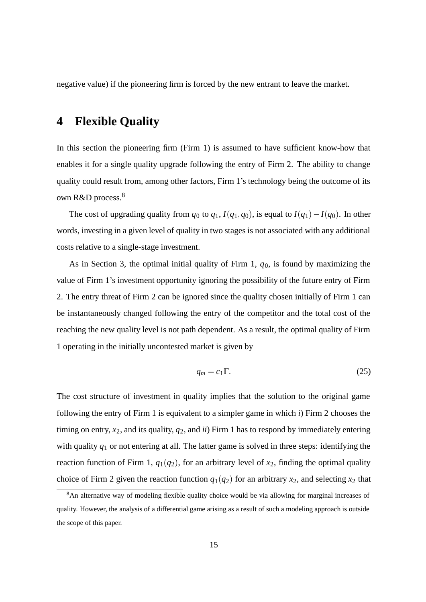negative value) if the pioneering firm is forced by the new entrant to leave the market.

## **4 Flexible Quality**

In this section the pioneering firm (Firm 1) is assumed to have sufficient know-how that enables it for a single quality upgrade following the entry of Firm 2. The ability to change quality could result from, among other factors, Firm 1's technology being the outcome of its own R&D process.<sup>8</sup>

The cost of upgrading quality from  $q_0$  to  $q_1$ ,  $I(q_1, q_0)$ , is equal to  $I(q_1) - I(q_0)$ . In other words, investing in a given level of quality in two stages is not associated with any additional costs relative to a single-stage investment.

As in Section 3, the optimal initial quality of Firm 1, *q*0, is found by maximizing the value of Firm 1's investment opportunity ignoring the possibility of the future entry of Firm 2. The entry threat of Firm 2 can be ignored since the quality chosen initially of Firm 1 can be instantaneously changed following the entry of the competitor and the total cost of the reaching the new quality level is not path dependent. As a result, the optimal quality of Firm 1 operating in the initially uncontested market is given by

$$
q_m = c_1 \Gamma. \tag{25}
$$

The cost structure of investment in quality implies that the solution to the original game following the entry of Firm 1 is equivalent to a simpler game in which *i*) Firm 2 chooses the timing on entry,  $x_2$ , and its quality,  $q_2$ , and *ii*) Firm 1 has to respond by immediately entering with quality *q*<sup>1</sup> or not entering at all. The latter game is solved in three steps: identifying the reaction function of Firm 1,  $q_1(q_2)$ , for an arbitrary level of  $x_2$ , finding the optimal quality choice of Firm 2 given the reaction function  $q_1(q_2)$  for an arbitrary  $x_2$ , and selecting  $x_2$  that

<sup>8</sup>An alternative way of modeling flexible quality choice would be via allowing for marginal increases of quality. However, the analysis of a differential game arising as a result of such a modeling approach is outside the scope of this paper.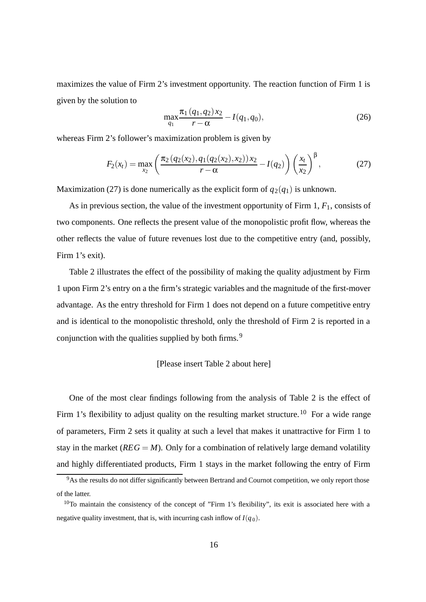maximizes the value of Firm 2's investment opportunity. The reaction function of Firm 1 is given by the solution to

$$
\max_{q_1} \frac{\pi_1(q_1, q_2) x_2}{r - \alpha} - I(q_1, q_0),\tag{26}
$$

whereas Firm 2's follower's maximization problem is given by

$$
F_2(x_t) = \max_{x_2} \left( \frac{\pi_2(q_2(x_2), q_1(q_2(x_2), x_2))x_2}{r - \alpha} - I(q_2) \right) \left( \frac{x_t}{x_2} \right)^{\beta},\tag{27}
$$

Maximization (27) is done numerically as the explicit form of  $q_2(q_1)$  is unknown.

As in previous section, the value of the investment opportunity of Firm 1, *F*1, consists of two components. One reflects the present value of the monopolistic profit flow, whereas the other reflects the value of future revenues lost due to the competitive entry (and, possibly, Firm 1's exit).

Table 2 illustrates the effect of the possibility of making the quality adjustment by Firm 1 upon Firm 2's entry on a the firm's strategic variables and the magnitude of the first-mover advantage. As the entry threshold for Firm 1 does not depend on a future competitive entry and is identical to the monopolistic threshold, only the threshold of Firm 2 is reported in a conjunction with the qualities supplied by both firms.<sup>9</sup>

#### [Please insert Table 2 about here]

One of the most clear findings following from the analysis of Table 2 is the effect of Firm 1's flexibility to adjust quality on the resulting market structure.<sup>10</sup> For a wide range of parameters, Firm 2 sets it quality at such a level that makes it unattractive for Firm 1 to stay in the market  $(REG = M)$ . Only for a combination of relatively large demand volatility and highly differentiated products, Firm 1 stays in the market following the entry of Firm

<sup>&</sup>lt;sup>9</sup>As the results do not differ significantly between Bertrand and Cournot competition, we only report those of the latter.

<sup>&</sup>lt;sup>10</sup>To maintain the consistency of the concept of "Firm 1's flexibility", its exit is associated here with a negative quality investment, that is, with incurring cash inflow of  $I(q_0)$ .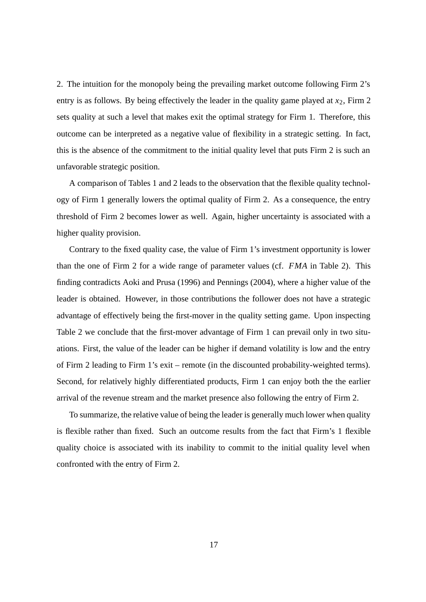2. The intuition for the monopoly being the prevailing market outcome following Firm 2's entry is as follows. By being effectively the leader in the quality game played at  $x_2$ , Firm 2 sets quality at such a level that makes exit the optimal strategy for Firm 1. Therefore, this outcome can be interpreted as a negative value of flexibility in a strategic setting. In fact, this is the absence of the commitment to the initial quality level that puts Firm 2 is such an unfavorable strategic position.

A comparison of Tables 1 and 2 leads to the observation that the flexible quality technology of Firm 1 generally lowers the optimal quality of Firm 2. As a consequence, the entry threshold of Firm 2 becomes lower as well. Again, higher uncertainty is associated with a higher quality provision.

Contrary to the fixed quality case, the value of Firm 1's investment opportunity is lower than the one of Firm 2 for a wide range of parameter values (cf. *FMA* in Table 2). This finding contradicts Aoki and Prusa (1996) and Pennings (2004), where a higher value of the leader is obtained. However, in those contributions the follower does not have a strategic advantage of effectively being the first-mover in the quality setting game. Upon inspecting Table 2 we conclude that the first-mover advantage of Firm 1 can prevail only in two situations. First, the value of the leader can be higher if demand volatility is low and the entry of Firm 2 leading to Firm 1's exit – remote (in the discounted probability-weighted terms). Second, for relatively highly differentiated products, Firm 1 can enjoy both the the earlier arrival of the revenue stream and the market presence also following the entry of Firm 2.

To summarize, the relative value of being the leader is generally much lower when quality is flexible rather than fixed. Such an outcome results from the fact that Firm's 1 flexible quality choice is associated with its inability to commit to the initial quality level when confronted with the entry of Firm 2.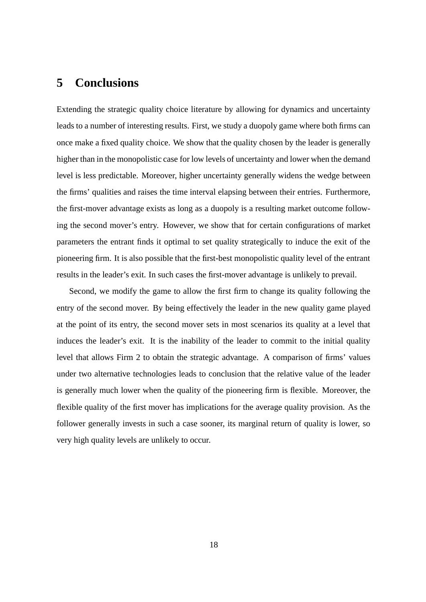## **5 Conclusions**

Extending the strategic quality choice literature by allowing for dynamics and uncertainty leads to a number of interesting results. First, we study a duopoly game where both firms can once make a fixed quality choice. We show that the quality chosen by the leader is generally higher than in the monopolistic case for low levels of uncertainty and lower when the demand level is less predictable. Moreover, higher uncertainty generally widens the wedge between the firms' qualities and raises the time interval elapsing between their entries. Furthermore, the first-mover advantage exists as long as a duopoly is a resulting market outcome following the second mover's entry. However, we show that for certain configurations of market parameters the entrant finds it optimal to set quality strategically to induce the exit of the pioneering firm. It is also possible that the first-best monopolistic quality level of the entrant results in the leader's exit. In such cases the first-mover advantage is unlikely to prevail.

Second, we modify the game to allow the first firm to change its quality following the entry of the second mover. By being effectively the leader in the new quality game played at the point of its entry, the second mover sets in most scenarios its quality at a level that induces the leader's exit. It is the inability of the leader to commit to the initial quality level that allows Firm 2 to obtain the strategic advantage. A comparison of firms' values under two alternative technologies leads to conclusion that the relative value of the leader is generally much lower when the quality of the pioneering firm is flexible. Moreover, the flexible quality of the first mover has implications for the average quality provision. As the follower generally invests in such a case sooner, its marginal return of quality is lower, so very high quality levels are unlikely to occur.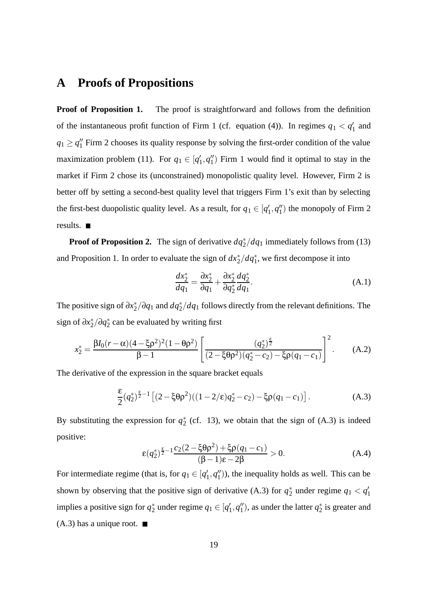## **A Proofs of Propositions**

**Proof of Proposition 1.** The proof is straightforward and follows from the definition of the instantaneous profit function of Firm 1 (cf. equation (4)). In regimes  $q_1 < q'_1$  and  $q_1 \ge q_1''$  Firm 2 chooses its quality response by solving the first-order condition of the value maximization problem (11). For  $q_1 \in [q'_1, q''_1)$  Firm 1 would find it optimal to stay in the market if Firm 2 chose its (unconstrained) monopolistic quality level. However, Firm 2 is better off by setting a second-best quality level that triggers Firm 1's exit than by selecting the first-best duopolistic quality level. As a result, for  $q_1 \in [q'_1, q''_1)$  the monopoly of Firm 2 results.

**Proof of Proposition 2.** The sign of derivative  $dq_2^*/dq_1$  immediately follows from (13) and Proposition 1. In order to evaluate the sign of  $dx_2^*/dq_1^*$ , we first decompose it into

$$
\frac{dx_2^*}{dq_1} = \frac{\partial x_2^*}{\partial q_1} + \frac{\partial x_2^*}{\partial q_2^*} \frac{dq_2^*}{dq_1}.
$$
\n(A.1)

The positive sign of ∂*x*<sup>∗</sup> <sup>2</sup>*/*∂*q*<sup>1</sup> and *dq*<sup>∗</sup> <sup>2</sup>*/dq*<sup>1</sup> follows directly from the relevant definitions. The sign of ∂*x*<sup>∗</sup> 2*/*∂*q*<sup>∗</sup> <sup>2</sup> can be evaluated by writing first

$$
x_2^* = \frac{\beta I_0 (r - \alpha)(4 - \xi \rho^2)^2 (1 - \theta \rho^2)}{\beta - 1} \left[ \frac{(q_2^*)^{\frac{\varepsilon}{2}}}{(2 - \xi \theta \rho^2)(q_2^* - c_2) - \xi \rho (q_1 - c_1)} \right]^2.
$$
 (A.2)

The derivative of the expression in the square bracket equals

$$
\frac{\varepsilon}{2}(q_2^*)^{\frac{\varepsilon}{2}-1}\left[ (2-\xi\theta\rho^2)((1-2/\varepsilon)q_2^*-c_2) - \xi\rho(q_1-c_1) \right].
$$
 (A.3)

By substituting the expression for  $q_2^*$  (cf. 13), we obtain that the sign of (A.3) is indeed positive:

$$
\varepsilon(q_2^*)^{\frac{\varepsilon}{2}-1} \frac{c_2(2-\xi \theta \rho^2) + \xi \rho(q_1 - c_1)}{(\beta - 1)\varepsilon - 2\beta} > 0.
$$
 (A.4)

For intermediate regime (that is, for  $q_1 \in [q'_1, q''_1)$ ), the inequality holds as well. This can be shown by observing that the positive sign of derivative (A.3) for  $q_2^*$  under regime  $q_1 < q_1'$ implies a positive sign for  $q_2^*$  under regime  $q_1 \in [q'_1, q''_1)$ , as under the latter  $q_2^*$  is greater and  $(A.3)$  has a unique root.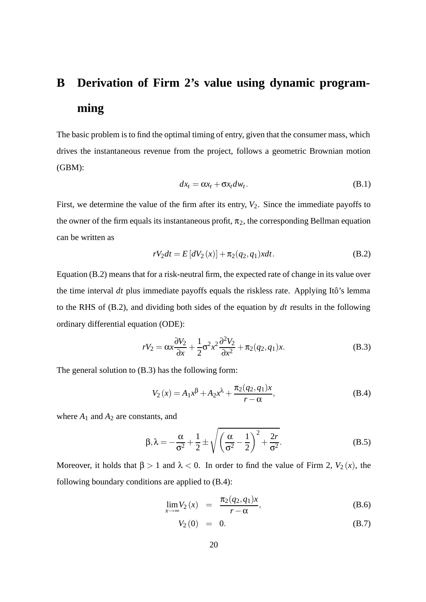## **B Derivation of Firm 2's value using dynamic programming**

The basic problem is to find the optimal timing of entry, given that the consumer mass, which drives the instantaneous revenue from the project, follows a geometric Brownian motion (GBM):

$$
dx_t = \alpha x_t + \sigma x_t dw_t. \tag{B.1}
$$

First, we determine the value of the firm after its entry,  $V_2$ . Since the immediate payoffs to the owner of the firm equals its instantaneous profit,  $\pi_2$ , the corresponding Bellman equation can be written as

$$
rV_2dt = E\left[dV_2(x)\right] + \pi_2(q_2, q_1)xdt.
$$
 (B.2)

Equation (B.2) means that for a risk-neutral firm, the expected rate of change in its value over the time interval *dt* plus immediate payoffs equals the riskless rate. Applying Itô's lemma to the RHS of (B.2), and dividing both sides of the equation by *dt* results in the following ordinary differential equation (ODE):

$$
rV_2 = \alpha x \frac{\partial V_2}{\partial x} + \frac{1}{2} \sigma^2 x^2 \frac{\partial^2 V_2}{\partial x^2} + \pi_2(q_2, q_1) x.
$$
 (B.3)

The general solution to (B.3) has the following form:

$$
V_2(x) = A_1 x^{\beta} + A_2 x^{\lambda} + \frac{\pi_2(q_2, q_1)x}{r - \alpha},
$$
 (B.4)

where  $A_1$  and  $A_2$  are constants, and

$$
\beta, \lambda = -\frac{\alpha}{\sigma^2} + \frac{1}{2} \pm \sqrt{\left(\frac{\alpha}{\sigma^2} - \frac{1}{2}\right)^2 + \frac{2r}{\sigma^2}}.
$$
 (B.5)

Moreover, it holds that  $\beta > 1$  and  $\lambda < 0$ . In order to find the value of Firm 2,  $V_2(x)$ , the following boundary conditions are applied to (B.4):

$$
\lim_{x \to \infty} V_2(x) = \frac{\pi_2(q_2, q_1)x}{r - \alpha},
$$
\n(B.6)

$$
V_2(0) = 0. \t\t (B.7)
$$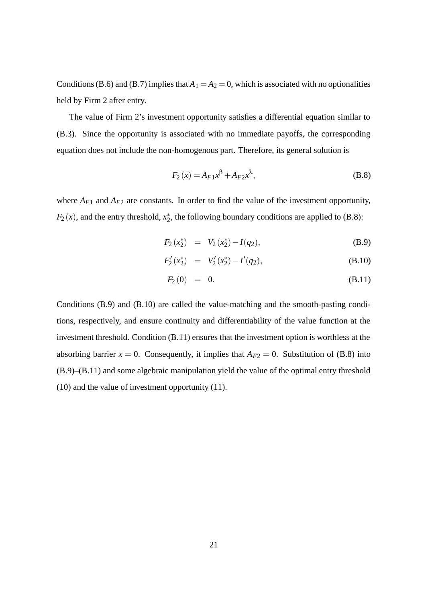Conditions (B.6) and (B.7) implies that  $A_1 = A_2 = 0$ , which is associated with no optionalities held by Firm 2 after entry.

The value of Firm 2's investment opportunity satisfies a differential equation similar to (B.3). Since the opportunity is associated with no immediate payoffs, the corresponding equation does not include the non-homogenous part. Therefore, its general solution is

$$
F_2(x) = A_{F1}x^{\beta} + A_{F2}x^{\lambda},
$$
 (B.8)

where  $A_{F1}$  and  $A_{F2}$  are constants. In order to find the value of the investment opportunity,  $F_2(x)$ , and the entry threshold,  $x_2^*$ , the following boundary conditions are applied to (B.8):

$$
F_2(x_2^*) = V_2(x_2^*) - I(q_2), \tag{B.9}
$$

$$
F_2'(x_2^*) = V_2'(x_2^*) - I'(q_2), \tag{B.10}
$$

$$
F_2(0) = 0. \t\t (B.11)
$$

Conditions (B.9) and (B.10) are called the value-matching and the smooth-pasting conditions, respectively, and ensure continuity and differentiability of the value function at the investment threshold. Condition (B.11) ensures that the investment option is worthless at the absorbing barrier  $x = 0$ . Consequently, it implies that  $A_{F2} = 0$ . Substitution of (B.8) into (B.9)–(B.11) and some algebraic manipulation yield the value of the optimal entry threshold (10) and the value of investment opportunity (11).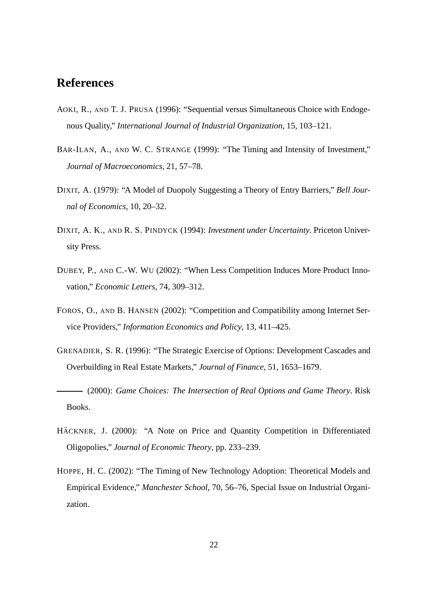## **References**

- AOKI, R., AND T. J. PRUSA (1996): "Sequential versus Simultaneous Choice with Endogenous Quality," *International Journal of Industrial Organization*, 15, 103–121.
- BAR-ILAN, A., AND W. C. STRANGE (1999): "The Timing and Intensity of Investment," *Journal of Macroeconomics*, 21, 57–78.
- DIXIT, A. (1979): "A Model of Duopoly Suggesting a Theory of Entry Barriers," *Bell Journal of Economics*, 10, 20–32.
- DIXIT, A. K., AND R. S. PINDYCK (1994): *Investment under Uncertainty*. Priceton University Press.
- DUBEY, P., AND C.-W. WU (2002): "When Less Competition Induces More Product Innovation," *Economic Letters*, 74, 309–312.
- FOROS, O., AND B. HANSEN (2002): "Competition and Compatibility among Internet Service Providers," *Information Economics and Policy*, 13, 411–425.
- GRENADIER, S. R. (1996): "The Strategic Exercise of Options: Development Cascades and Overbuilding in Real Estate Markets," *Journal of Finance*, 51, 1653–1679.

(2000): *Game Choices: The Intersection of Real Options and Game Theory*. Risk Books.

- HÄCKNER, J. (2000): "A Note on Price and Quantity Competition in Differentiated Oligopolies," *Journal of Economic Theory*, pp. 233–239.
- HOPPE, H. C. (2002): "The Timing of New Technology Adoption: Theoretical Models and Empirical Evidence," *Manchester School*, 70, 56–76, Special Issue on Industrial Organization.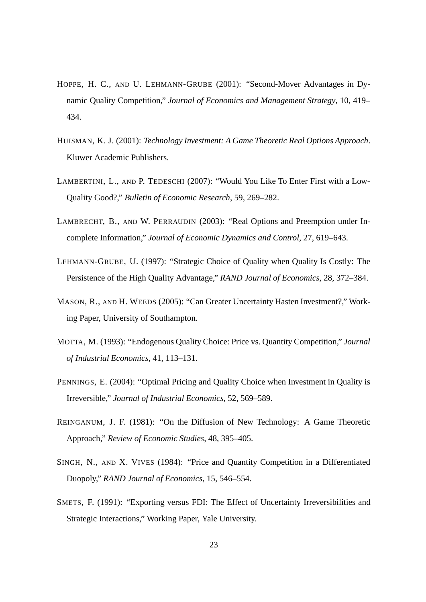- HOPPE, H. C., AND U. LEHMANN-GRUBE (2001): "Second-Mover Advantages in Dynamic Quality Competition," *Journal of Economics and Management Strategy*, 10, 419– 434.
- HUISMAN, K. J. (2001): *Technology Investment: A Game Theoretic Real Options Approach*. Kluwer Academic Publishers.
- LAMBERTINI, L., AND P. TEDESCHI (2007): "Would You Like To Enter First with a Low-Quality Good?," *Bulletin of Economic Research*, 59, 269–282.
- LAMBRECHT, B., AND W. PERRAUDIN (2003): "Real Options and Preemption under Incomplete Information," *Journal of Economic Dynamics and Control*, 27, 619–643.
- LEHMANN-GRUBE, U. (1997): "Strategic Choice of Quality when Quality Is Costly: The Persistence of the High Quality Advantage," *RAND Journal of Economics*, 28, 372–384.
- MASON, R., AND H. WEEDS (2005): "Can Greater Uncertainty Hasten Investment?," Working Paper, University of Southampton.
- MOTTA, M. (1993): "Endogenous Quality Choice: Price vs. Quantity Competition," *Journal of Industrial Economics*, 41, 113–131.
- PENNINGS, E. (2004): "Optimal Pricing and Quality Choice when Investment in Quality is Irreversible," *Journal of Industrial Economics*, 52, 569–589.
- REINGANUM, J. F. (1981): "On the Diffusion of New Technology: A Game Theoretic Approach," *Review of Economic Studies*, 48, 395–405.
- SINGH, N., AND X. VIVES (1984): "Price and Quantity Competition in a Differentiated Duopoly," *RAND Journal of Economics*, 15, 546–554.
- SMETS, F. (1991): "Exporting versus FDI: The Effect of Uncertainty Irreversibilities and Strategic Interactions," Working Paper, Yale University.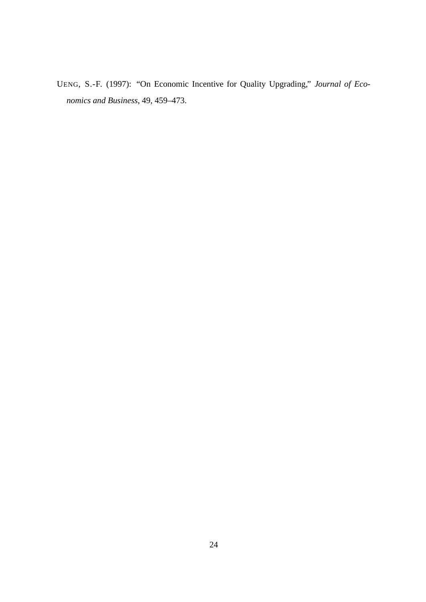UENG, S.-F. (1997): "On Economic Incentive for Quality Upgrading," *Journal of Economics and Business*, 49, 459–473.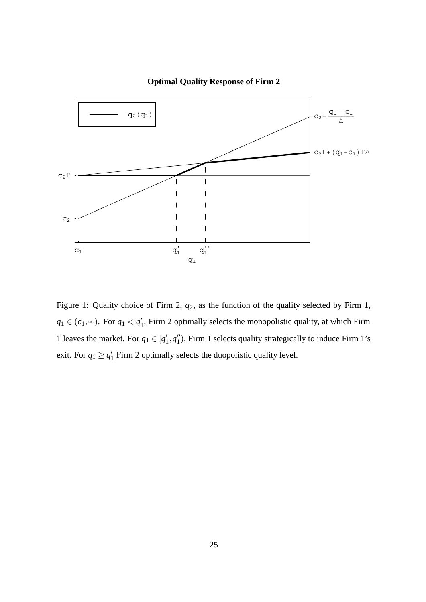

**Optimal Quality Response of Firm 2**

Figure 1: Quality choice of Firm 2, *q*2, as the function of the quality selected by Firm 1,  $q_1 \in (c_1, \infty)$ . For  $q_1 < q'_1$ , Firm 2 optimally selects the monopolistic quality, at which Firm 1 leaves the market. For  $q_1 \in [q'_1, q''_1)$ , Firm 1 selects quality strategically to induce Firm 1's exit. For  $q_1 \ge q'_1$  Firm 2 optimally selects the duopolistic quality level.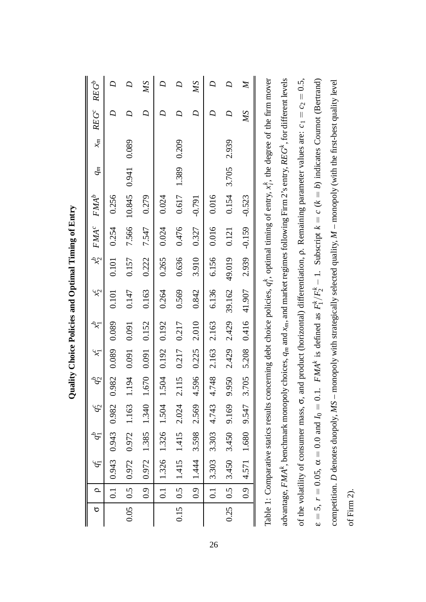| ь    | Q                | $g_1^c$                                        |                     | $q_2^c$ | $q_2^b$ | $\chi^-$ | $\zeta^{\mathcal{L}}$ | $\mathcal{X}^2$                                                                                                                                                       |        | $x_2^b$ FMA <sup>c</sup> | $FMA^b$  | $q_m$       | $x_m$ | $REF^c$         | $REG^b$        |
|------|------------------|------------------------------------------------|---------------------|---------|---------|----------|-----------------------|-----------------------------------------------------------------------------------------------------------------------------------------------------------------------|--------|--------------------------|----------|-------------|-------|-----------------|----------------|
|      | $\overline{c}$   |                                                | $0.943$ 0.943 0.982 |         | 0.982   | 0.089    | 0.089                 | 0.101                                                                                                                                                                 | 0.101  | 0.254                    | 0.256    |             |       | D               | $\overline{D}$ |
| 0.05 |                  | 0.5   0.972   0.972   1.163                    |                     |         | 1.194   | 0.091    | 0.091                 | 0.147                                                                                                                                                                 | 0.157  | 7.566                    | 10.845   | 0.941       | 0.089 | $\overline{D}$  | $\overline{D}$ |
|      | $\overline{0.9}$ |                                                | 0.972 1.385         | 1.340   | 1.670   | 0.091    | 0.152                 | 0.163                                                                                                                                                                 | 0.222  | 7.547                    | 0.279    |             |       | D               | <b>SW</b>      |
|      | $\overline{1}$   |                                                | 1.326 1.326 1.504   |         | 1.504   | 0.192    | 0.192                 | 0.264                                                                                                                                                                 | 0.265  | 0.024                    | 0.024    |             |       |                 | $\mathcal{Q}$  |
| 0.15 |                  | $0.5$   1.415 1.415 2.024                      |                     |         | 2.115   | 0.217    | 0.217                 | 0.569                                                                                                                                                                 | 0.636  | 0.476                    | 0.617    | 1.389 0.209 |       | $\mathcal{Q}$   | $\overline{D}$ |
|      | 0.9              |                                                | 1.444 3.598         | 2.569   | 4.596   | 0.225    | 2.010                 | 0.842                                                                                                                                                                 | 3.910  | 0.327                    | $-0.791$ |             |       | $\overline{D}$  | <b>SW</b>      |
|      |                  | $0.1$ 3.303 3.303 4.743                        |                     |         | 4.748   | 2.163    | 2.163                 | 6.136                                                                                                                                                                 | 6.156  | 0.016                    | 0.016    |             |       | Q               | $\overline{D}$ |
| 0.25 |                  | $0.5$   3.450 3.450 9.169                      |                     |         | 9.950   | 2.429    | 2.429                 | 39.162                                                                                                                                                                | 49.019 | 0.121                    | 0.154    | 3.705       | 2.939 | $\overline{D}$  | $\mathcal{D}$  |
|      | 0.9              |                                                | 4.571 1.680 9.547   |         | 3.705   | 5.208    | 0.416                 | 41.907                                                                                                                                                                | 2.939  | $-0.159$                 | $-0.523$ |             |       | $\overline{MS}$ | $\cancel{N}$   |
|      |                  |                                                |                     |         |         |          |                       | Table 1: Comparative statics results concerning debt choice policies, $q_i^k$ , optimal timing of entry, $x_i^k$ , the degree of the firm mover                       |        |                          |          |             |       |                 |                |
|      |                  |                                                |                     |         |         |          |                       | advantage, FMA <sup>k</sup> , benchmark monopoly choices, $q_m$ and $x_m$ , and market regimes following Firm 2's entry, REG <sup>k</sup> , for different levels      |        |                          |          |             |       |                 |                |
|      |                  | of the volatility of consumer mass, $\sigma$ , |                     |         |         |          |                       | and product (horizontal) differentiation, $\rho$ . Remaining parameter values are: $c_1 = c_2 = 0.5$ ,                                                                |        |                          |          |             |       |                 |                |
|      |                  |                                                |                     |         |         |          |                       | $\varepsilon = 5$ , $r = 0.05$ , $\alpha = 0.0$ and $I_0 = 0.1$ . $F/MA^k$ is defined as $F_1^k/F_2^k - 1$ . Subscript $k = c$ $(k = b)$ indicates Cournot (Bertrand) |        |                          |          |             |       |                 |                |
|      |                  |                                                |                     |         |         |          |                       | competition. $D$ denotes duopoly, $MS$ – monopoly with strategically selected quality, $M$ – monopoly (with the first-best quality level                              |        |                          |          |             |       |                 |                |

Quality Choice Policies and Optimal Timing of Entry **Quality Choice Policies and Optimal Timing of Entry**

26

of Firm 2).